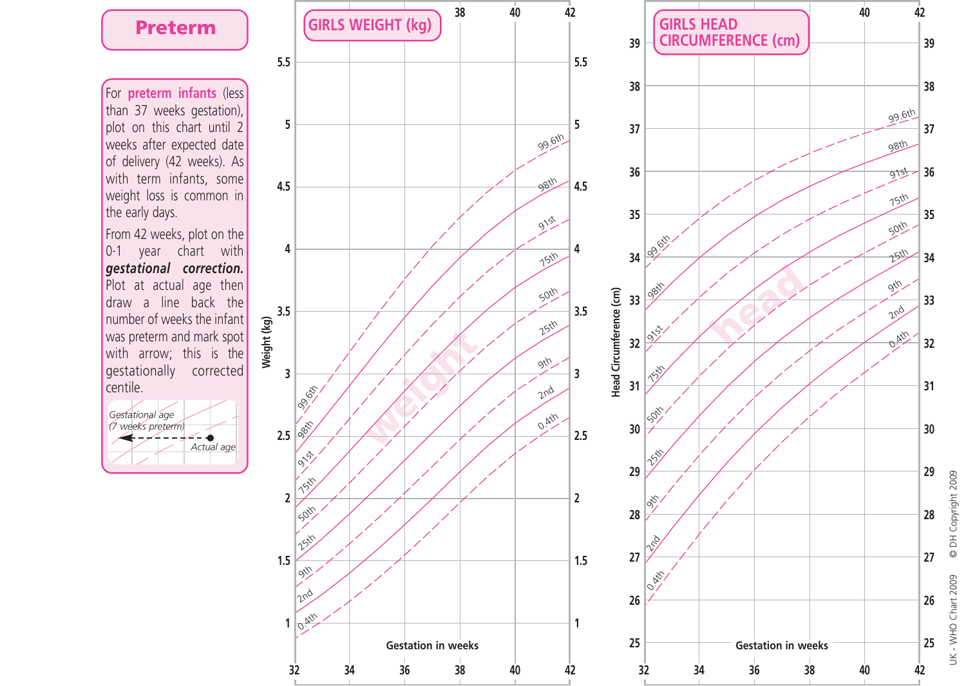## **Preterm**

For **preterm infants** (less than 37 weeks gestation), plot on this chart until 2 weeks after expected date of delivery (42 weeks). As with term infants, some weight loss is common in the early days.

From 42 weeks, plot on the 0-1 year chart with *gestational correction.* Plot at actual age then draw a line back the number of weeks the infant was preterm and mark spot with arrow; this is the gestationally corrected centile.







UK - WHO Chart 2009 © DH Copyright 2009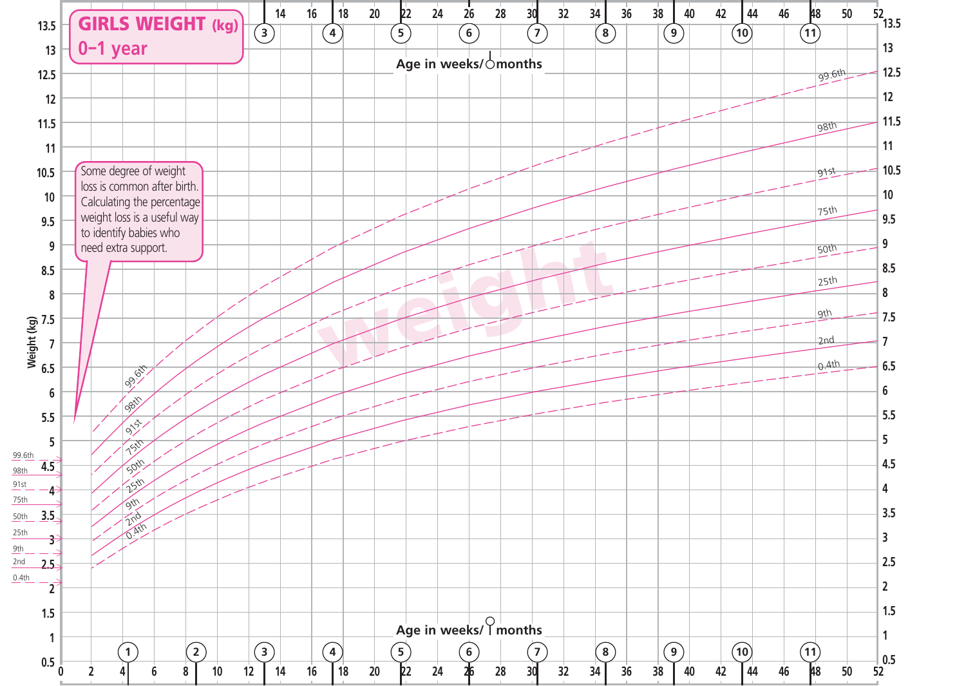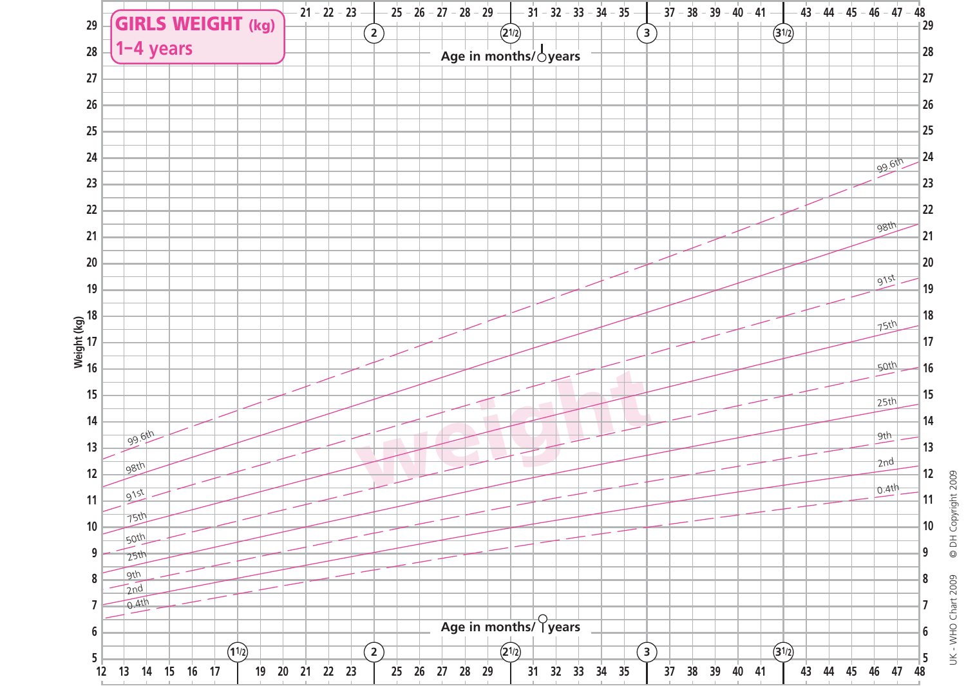

UK - WHO Chart 2009 © DH Copyright 2009 UK - WHO Chart 2009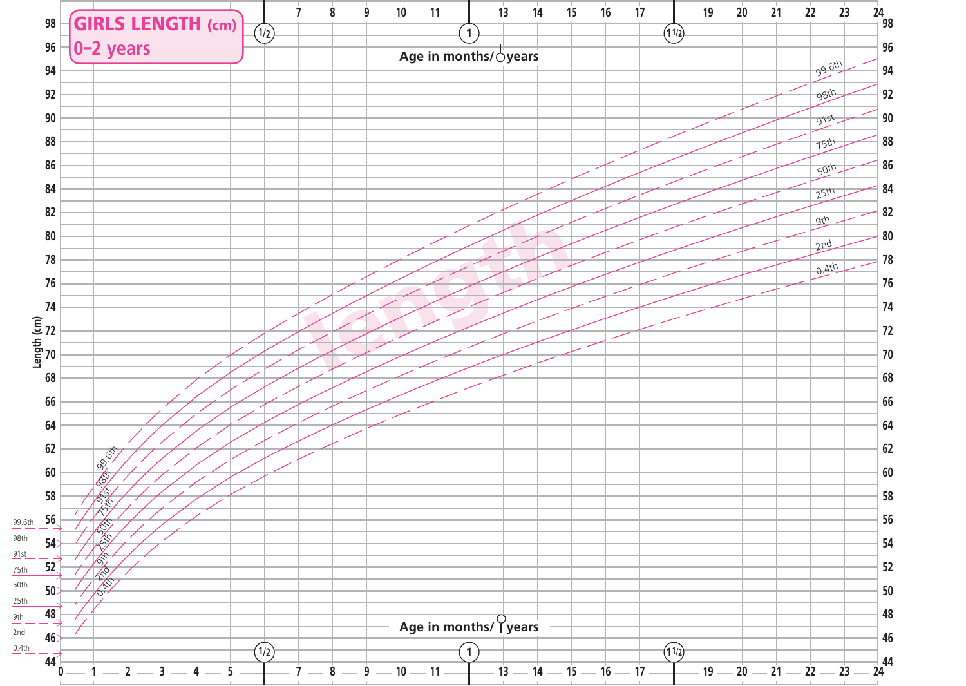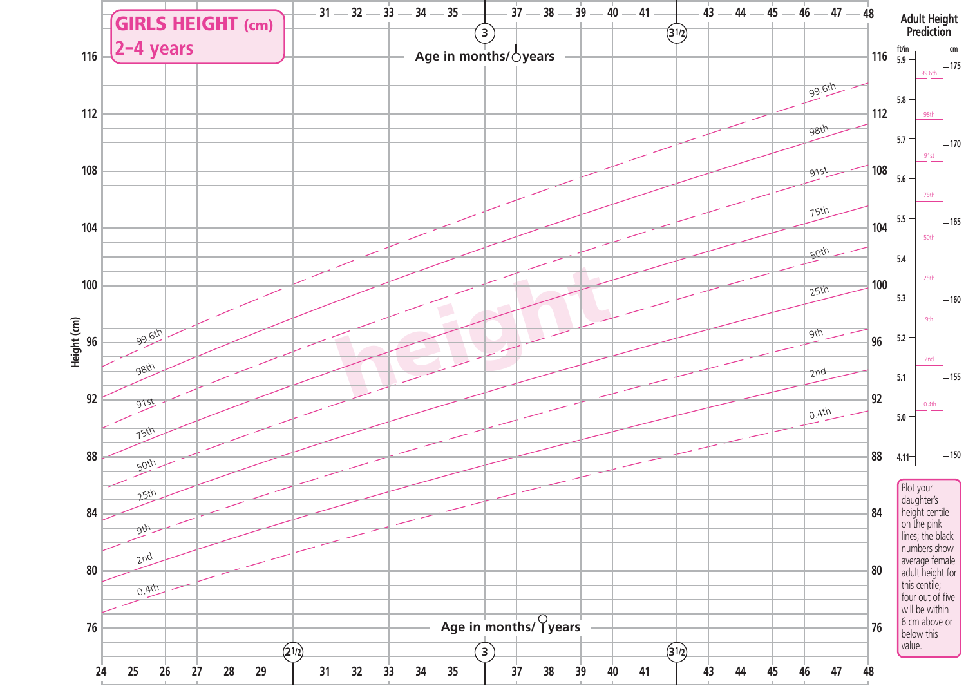